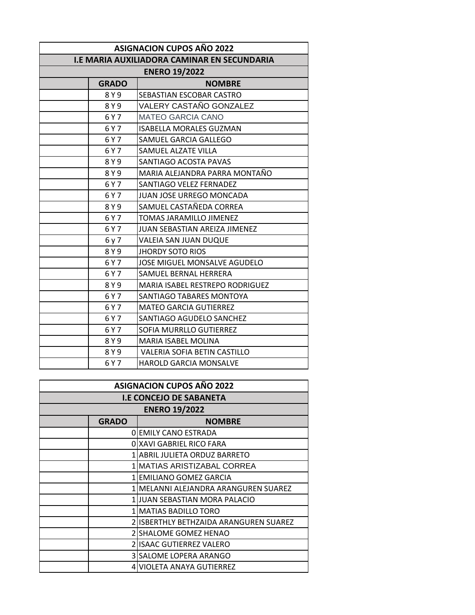| <b>ASIGNACION CUPOS AÑO 2022</b>            |              |                                      |  |  |  |
|---------------------------------------------|--------------|--------------------------------------|--|--|--|
| I.E MARIA AUXILIADORA CAMINAR EN SECUNDARIA |              |                                      |  |  |  |
| <b>ENERO 19/2022</b>                        |              |                                      |  |  |  |
|                                             | <b>GRADO</b> | <b>NOMBRE</b>                        |  |  |  |
|                                             | 8 Y 9        | SEBASTIAN ESCOBAR CASTRO             |  |  |  |
|                                             | 8Y9          | VALERY CASTAÑO GONZALEZ              |  |  |  |
|                                             | 6 Y 7        | <b>MATEO GARCIA CANO</b>             |  |  |  |
|                                             | 6 Y 7        | <b>ISABELLA MORALES GUZMAN</b>       |  |  |  |
|                                             | 6 Y 7        | SAMUEL GARCIA GALLEGO                |  |  |  |
|                                             | 6 Y 7        | SAMUEL ALZATE VILLA                  |  |  |  |
|                                             | 8Y9          | SANTIAGO ACOSTA PAVAS                |  |  |  |
|                                             | 8 Y 9        | MARIA ALEJANDRA PARRA MONTAÑO        |  |  |  |
|                                             | 6 Y 7        | SANTIAGO VELEZ FERNADEZ              |  |  |  |
|                                             | 6 Y 7        | JUAN JOSE URREGO MONCADA             |  |  |  |
|                                             | 8Y9          | SAMUEL CASTAÑEDA CORREA              |  |  |  |
|                                             | 6 Y 7        | TOMAS JARAMILLO JIMENEZ              |  |  |  |
|                                             | 6 Y 7        | <b>JUAN SEBASTIAN AREIZA JIMENEZ</b> |  |  |  |
|                                             | 6 y 7        | VALEIA SAN JUAN DUQUE                |  |  |  |
|                                             | 8Y9          | <b>JHORDY SOTO RIOS</b>              |  |  |  |
|                                             | 6 Y 7        | JOSE MIGUEL MONSALVE AGUDELO         |  |  |  |
|                                             | 6 Y 7        | SAMUEL BERNAL HERRERA                |  |  |  |
|                                             | 8 Y 9        | MARIA ISABEL RESTREPO RODRIGUEZ      |  |  |  |
|                                             | 6 Y 7        | SANTIAGO TABARES MONTOYA             |  |  |  |
|                                             | 6 Y 7        | <b>MATEO GARCIA GUTIERREZ</b>        |  |  |  |
|                                             | 6 Y 7        | SANTIAGO AGUDELO SANCHEZ             |  |  |  |
|                                             | 6 Y 7        | SOFIA MURRLLO GUTIERREZ              |  |  |  |
|                                             | 8 Y 9        | <b>MARIA ISABEL MOLINA</b>           |  |  |  |
|                                             | 8 Y 9        | VALERIA SOFIA BETIN CASTILLO         |  |  |  |
|                                             | 6 Y 7        | <b>HAROLD GARCIA MONSALVE</b>        |  |  |  |

| <b>ASIGNACION CUPOS AÑO 2022</b> |              |                                         |  |  |
|----------------------------------|--------------|-----------------------------------------|--|--|
| <b>I.E CONCEJO DE SABANETA</b>   |              |                                         |  |  |
| <b>ENERO 19/2022</b>             |              |                                         |  |  |
|                                  | <b>GRADO</b> | <b>NOMBRE</b>                           |  |  |
|                                  |              | OIEMILY CANO ESTRADA                    |  |  |
|                                  |              | 0 XAVI GABRIEL RICO FARA                |  |  |
|                                  |              | 1 ABRIL JULIETA ORDUZ BARRETO           |  |  |
|                                  |              | 1   MATIAS ARISTIZABAL CORREA           |  |  |
|                                  |              | 1 EMILIANO GOMEZ GARCIA                 |  |  |
|                                  |              | 1   MELANNI ALEJANDRA ARANGUREN SUAREZ  |  |  |
|                                  |              | 1 JUAN SEBASTIAN MORA PALACIO           |  |  |
|                                  |              | 1   MATIAS BADILLO TORO                 |  |  |
|                                  |              | 2 IISBERTHLY BETHZAIDA ARANGUREN SUAREZ |  |  |
|                                  |              | 2 SHALOME GOMEZ HENAO                   |  |  |
|                                  |              | 2 ISAAC GUTIERREZ VALERO                |  |  |
|                                  |              | 3 SALOME LOPERA ARANGO                  |  |  |
|                                  |              | 4 VIOLETA ANAYA GUTIERREZ               |  |  |